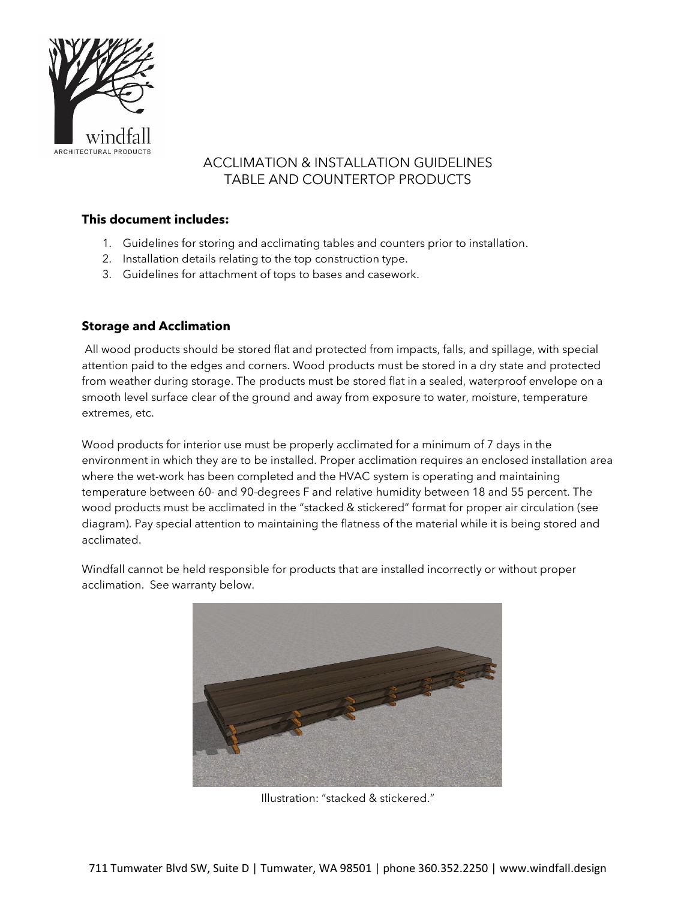

# ACCLIMATION & INSTALLATION GUIDELINES TABLE AND COUNTERTOP PRODUCTS

# **This document includes:**

- 1. Guidelines for storing and acclimating tables and counters prior to installation.
- 2. Installation details relating to the top construction type.
- 3. Guidelines for attachment of tops to bases and casework.

## **Storage and Acclimation**

All wood products should be stored flat and protected from impacts, falls, and spillage, with special attention paid to the edges and corners. Wood products must be stored in a dry state and protected from weather during storage. The products must be stored flat in a sealed, waterproof envelope on a smooth level surface clear of the ground and away from exposure to water, moisture, temperature extremes, etc.

Wood products for interior use must be properly acclimated for a minimum of 7 days in the environment in which they are to be installed. Proper acclimation requires an enclosed installation area where the wet-work has been completed and the HVAC system is operating and maintaining temperature between 60- and 90-degrees F and relative humidity between 18 and 55 percent. The wood products must be acclimated in the "stacked & stickered" format for proper air circulation (see diagram). Pay special attention to maintaining the flatness of the material while it is being stored and acclimated.

Windfall cannot be held responsible for products that are installed incorrectly or without proper acclimation. See warranty below.



Illustration: "stacked & stickered."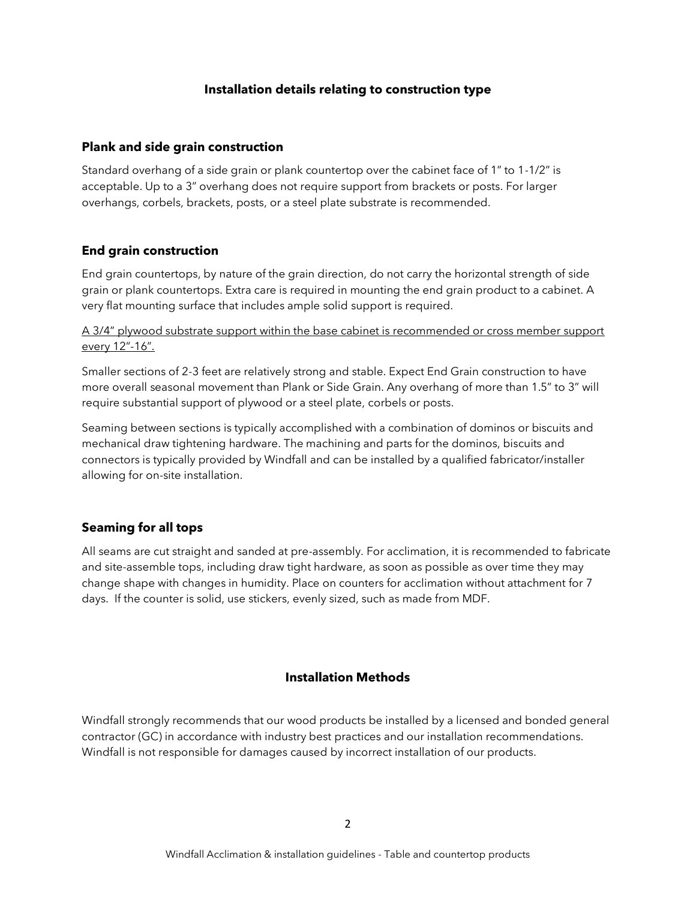#### **Installation details relating to construction type**

#### **Plank and side grain construction**

Standard overhang of a side grain or plank countertop over the cabinet face of 1" to 1-1/2" is acceptable. Up to a 3" overhang does not require support from brackets or posts. For larger overhangs, corbels, brackets, posts, or a steel plate substrate is recommended.

## **End grain construction**

End grain countertops, by nature of the grain direction, do not carry the horizontal strength of side grain or plank countertops. Extra care is required in mounting the end grain product to a cabinet. A very flat mounting surface that includes ample solid support is required.

A 3/4" plywood substrate support within the base cabinet is recommended or cross member support every 12"-16".

Smaller sections of 2-3 feet are relatively strong and stable. Expect End Grain construction to have more overall seasonal movement than Plank or Side Grain. Any overhang of more than 1.5" to 3" will require substantial support of plywood or a steel plate, corbels or posts.

Seaming between sections is typically accomplished with a combination of dominos or biscuits and mechanical draw tightening hardware. The machining and parts for the dominos, biscuits and connectors is typically provided by Windfall and can be installed by a qualified fabricator/installer allowing for on-site installation.

## **Seaming for all tops**

All seams are cut straight and sanded at pre-assembly. For acclimation, it is recommended to fabricate and site-assemble tops, including draw tight hardware, as soon as possible as over time they may change shape with changes in humidity. Place on counters for acclimation without attachment for 7 days. If the counter is solid, use stickers, evenly sized, such as made from MDF.

## **Installation Methods**

Windfall strongly recommends that our wood products be installed by a licensed and bonded general contractor (GC) in accordance with industry best practices and our installation recommendations. Windfall is not responsible for damages caused by incorrect installation of our products.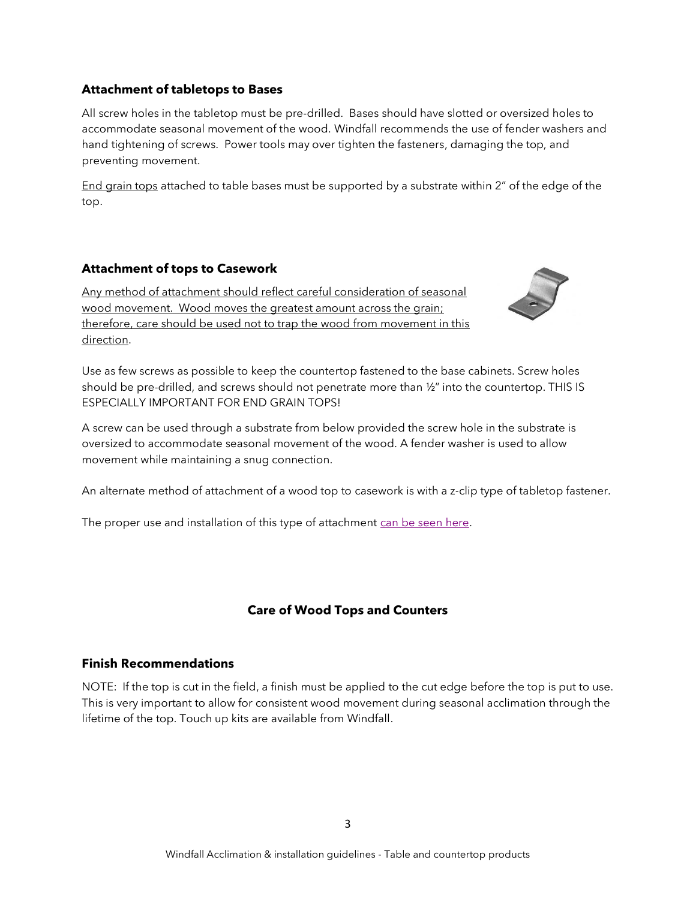#### **Attachment of tabletops to Bases**

All screw holes in the tabletop must be pre-drilled. Bases should have slotted or oversized holes to accommodate seasonal movement of the wood. Windfall recommends the use of fender washers and hand tightening of screws. Power tools may over tighten the fasteners, damaging the top, and preventing movement.

End grain tops attached to table bases must be supported by a substrate within 2" of the edge of the top.

#### **Attachment of tops to Casework**

Any method of attachment should reflect careful consideration of seasonal wood movement. Wood moves the greatest amount across the grain; therefore, care should be used not to trap the wood from movement in this direction.



Use as few screws as possible to keep the countertop fastened to the base cabinets. Screw holes should be pre-drilled, and screws should not penetrate more than ½" into the countertop. THIS IS ESPECIALLY IMPORTANT FOR END GRAIN TOPS!

A screw can be used through a substrate from below provided the screw hole in the substrate is oversized to accommodate seasonal movement of the wood. A fender washer is used to allow movement while maintaining a snug connection.

An alternate method of attachment of a wood top to casework is with a z-clip type of tabletop fastener.

The proper use and installation of this type of attachment [can be seen here.](https://www.woodcraft.com/media/W1siZiIsIjIwMTcvMDkvMjEvMTIvMzIvMjEvNzEvMzVfVGFibGV0b3BfRmFzdGVuZXJzXzIucGRmIl1d/35%20Tabletop%20Fasteners-2.pdf?sha=b0f80e6e15387648)

## **Care of Wood Tops and Counters**

#### **Finish Recommendations**

NOTE: If the top is cut in the field, a finish must be applied to the cut edge before the top is put to use. This is very important to allow for consistent wood movement during seasonal acclimation through the lifetime of the top. Touch up kits are available from Windfall.